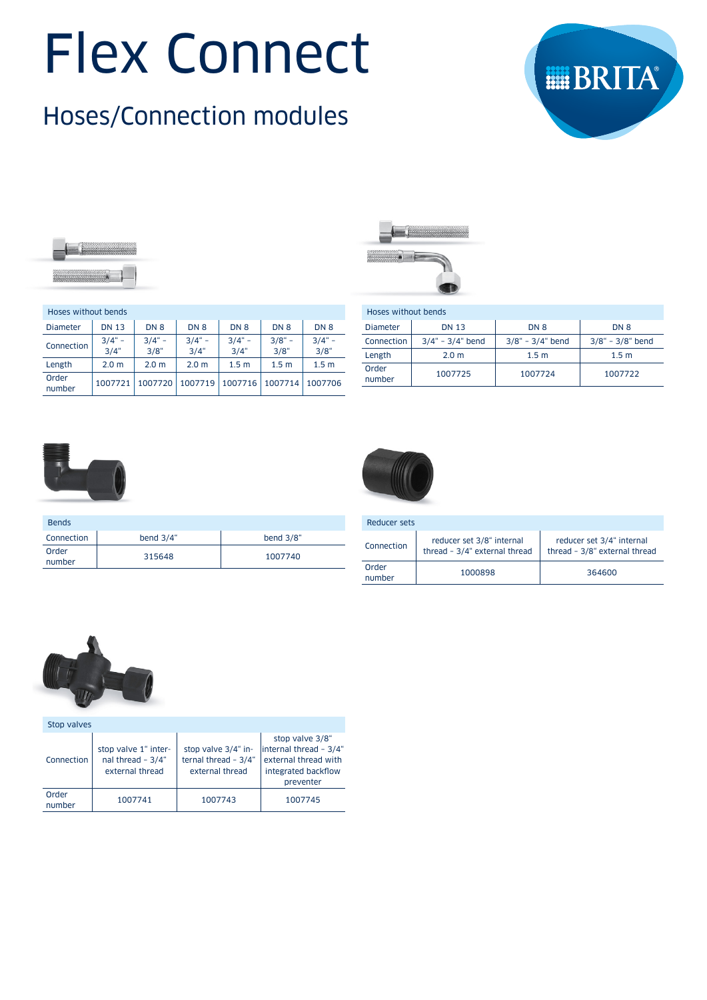# Flex Connect

# Hoses/Connection modules





| Hoses without bends |                      |                  |                  |                   |                  |                     |
|---------------------|----------------------|------------------|------------------|-------------------|------------------|---------------------|
| <b>Diameter</b>     | <b>DN 13</b>         | DN <sub>8</sub>  | DN <sub>8</sub>  | DN <sub>8</sub>   | DN <sub>8</sub>  | DN <sub>8</sub>     |
| Connection          | $3/4$ " -<br>$3/4$ " | $3/4" -$<br>3/8" | $3/4" -$<br>3/4" | $3/4$ " -<br>3/4" | $3/8" -$<br>3/8" | $3/4" -$<br>$3/8$ " |
| Length              | 2.0 <sub>m</sub>     | 2.0 <sub>m</sub> | 2.0 <sub>m</sub> | 1.5 <sub>m</sub>  | 1.5 <sub>m</sub> | 1.5 <sub>m</sub>    |
| Order<br>number     | 1007721              | 1007720          | 1007719          | 1007716           | 1007714          | 1007706             |

Connection bend 3/4" bend 3/8"

number <sup>315648</sup> <sup>1007740</sup>



| Hoses without bends |                        |                        |                        |
|---------------------|------------------------|------------------------|------------------------|
| <b>Diameter</b>     | <b>DN 13</b>           | DN 8                   | DN 8                   |
| Connection          | $3/4$ " - $3/4$ " bend | $3/8$ " - $3/4$ " bend | $3/8$ " - $3/8$ " bend |
| Length              | 2.0 <sub>m</sub>       | 1.5 <sub>m</sub>       | 1.5 <sub>m</sub>       |
| Order<br>number     | 1007725                | 1007724                | 1007722                |



Bends

**Order** 



| Reducer sets    |                                                            |                                                            |
|-----------------|------------------------------------------------------------|------------------------------------------------------------|
| Connection      | reducer set 3/8" internal<br>thread - 3/4" external thread | reducer set 3/4" internal<br>thread - 3/8" external thread |
| Order<br>number | 1000898                                                    | 364600                                                     |



| Stop valves     |                                                                |                                                                |                                                                                                        |
|-----------------|----------------------------------------------------------------|----------------------------------------------------------------|--------------------------------------------------------------------------------------------------------|
| Connection      | stop valve 1" inter-<br>nal thread $-3/4$ "<br>external thread | stop valve 3/4" in-<br>ternal thread - 3/4"<br>external thread | stop valve 3/8"<br>linternal thread - 3/4"<br>external thread with<br>integrated backflow<br>preventer |
| Order<br>number | 1007741                                                        | 1007743                                                        | 1007745                                                                                                |